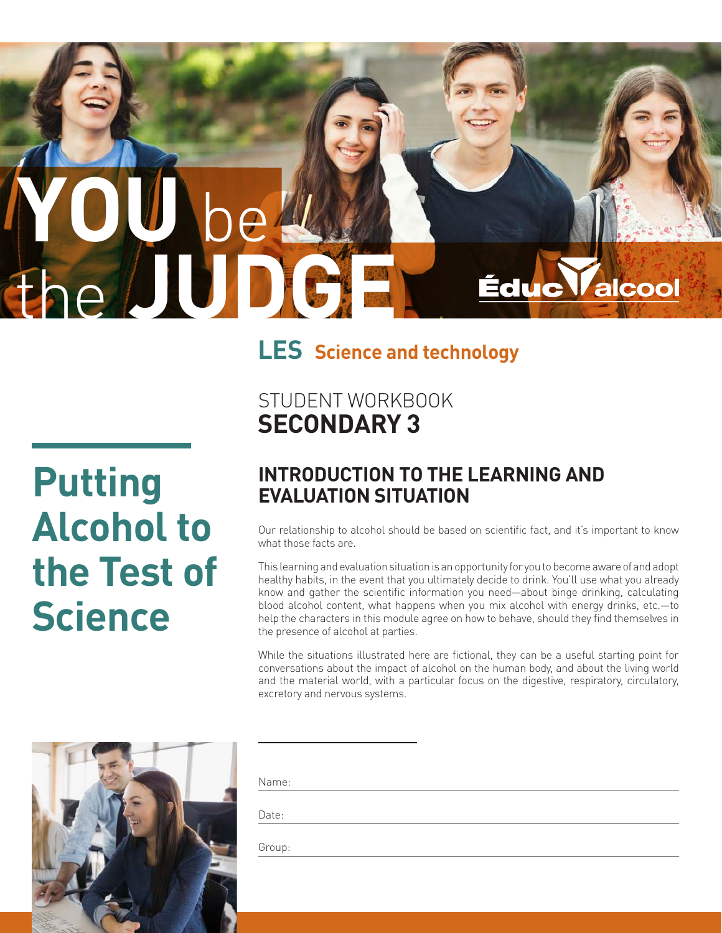# **YOU** be the **JUDGE LES Science and technology**

**Putting Alcohol to the Test of Science**

# STUDENT WORKBOOK **SECONDARY 3**

#### **INTRODUCTION TO THE LEARNING AND EVALUATION SITUATION**

Our relationship to alcohol should be based on scientific fact, and it's important to know what those facts are.

Éduc

alcool

This learning and evaluation situation is an opportunity for you to become aware of and adopt healthy habits, in the event that you ultimately decide to drink. You'll use what you already know and gather the scientific information you need—about binge drinking, calculating blood alcohol content, what happens when you mix alcohol with energy drinks, etc.—to help the characters in this module agree on how to behave, should they find themselves in the presence of alcohol at parties.

While the situations illustrated here are fictional, they can be a useful starting point for conversations about the impact of alcohol on the human body, and about the living world and the material world, with a particular focus on the digestive, respiratory, circulatory, excretory and nervous systems.



Name:

Date:

Group: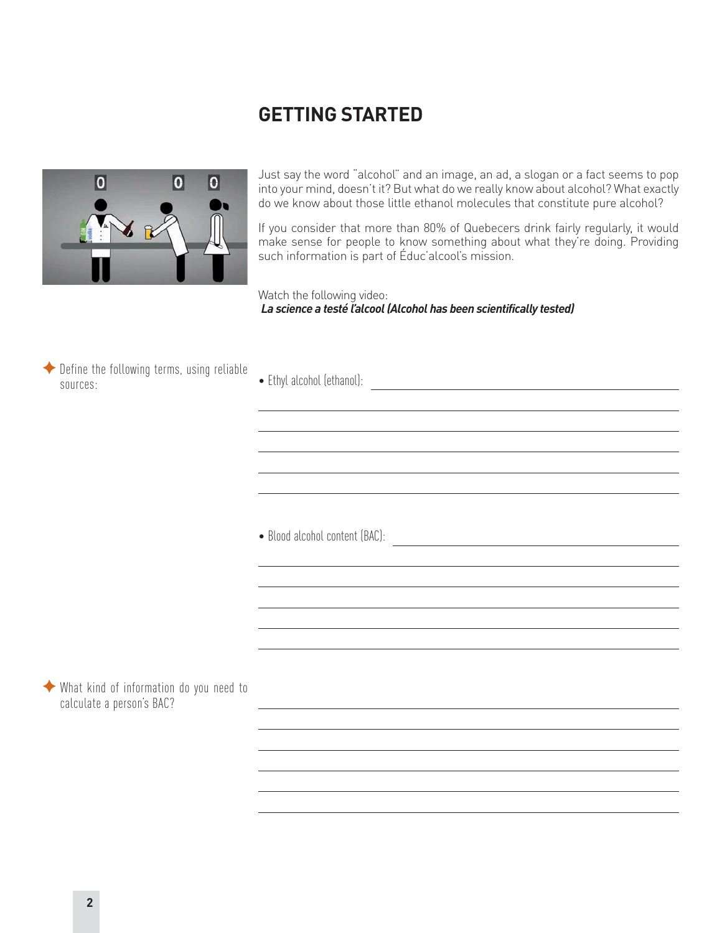#### **GETTING STARTED**



Just say the word "alcohol" and an image, an ad, a slogan or a fact seems to pop into your mind, doesn't it? But what do we really know about alcohol? What exactly do we know about those little ethanol molecules that constitute pure alcohol?

If you consider that more than 80% of Quebecers drink fairly regularly, it would make sense for people to know something about what they're doing. Providing such information is part of Éduc'alcool's mission.

Watch the following video: *La science a testé l'alcool (Alcohol has been scientifically tested)*



• Blood alcohol content (BAC):

 $\blacklozenge$  What kind of information do you need to calculate a person's BAC?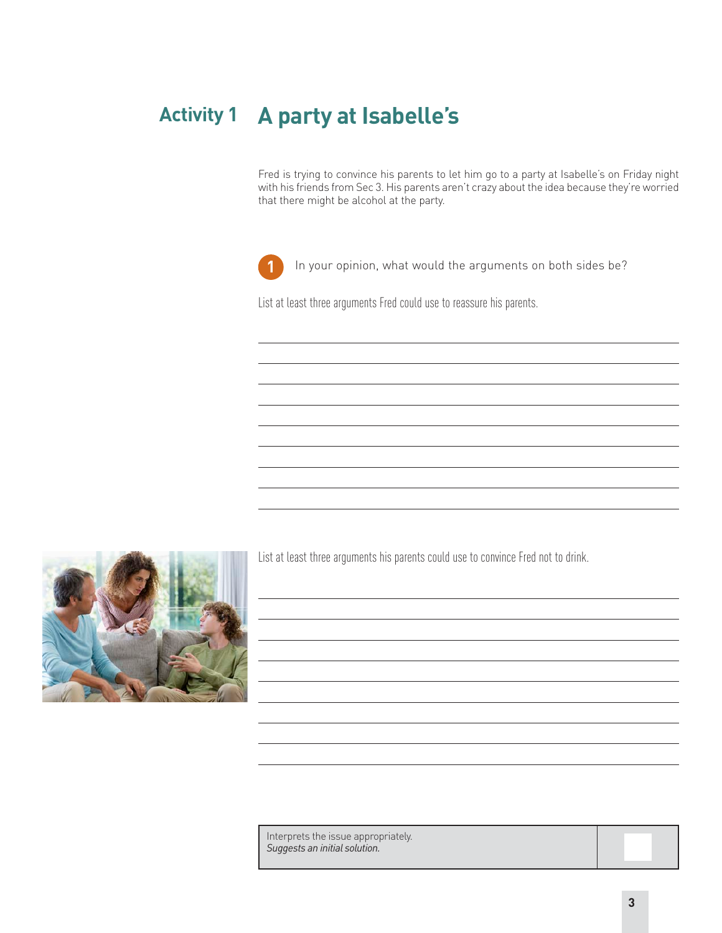# **Activity 1 A party at Isabelle's**

Fred is trying to convince his parents to let him go to a party at Isabelle's on Friday night with his friends from Sec 3. His parents aren't crazy about the idea because they're worried that there might be alcohol at the party.



**1** In your opinion, what would the arguments on both sides be?

List at least three arguments Fred could use to reassure his parents.



List at least three arguments his parents could use to convince Fred not to drink.

Interprets the issue appropriately. *Suggests an initial solution.*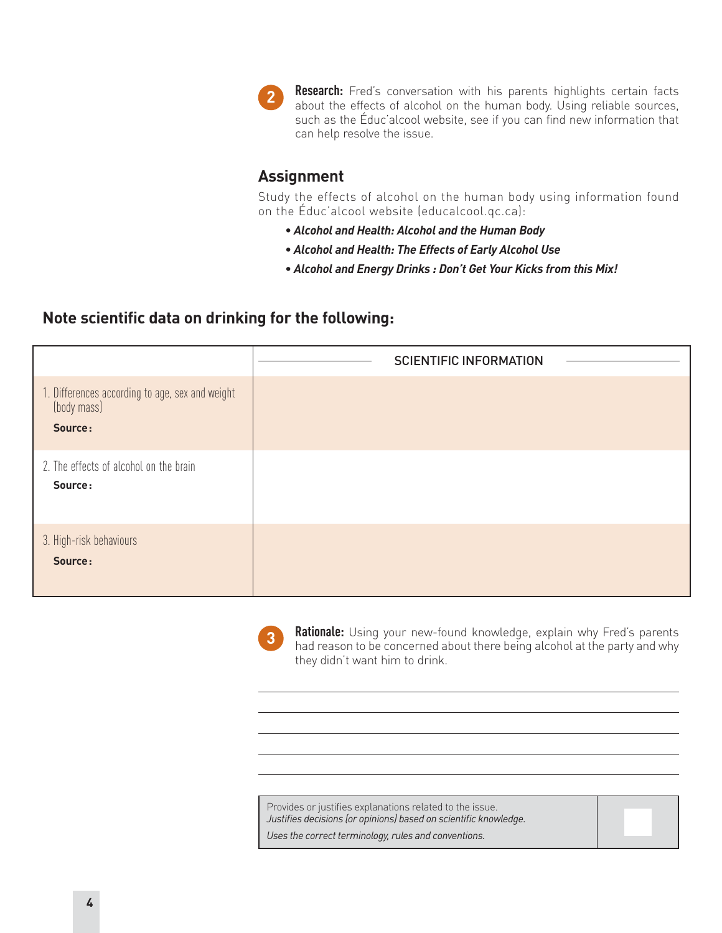

**Research:** Fred's conversation with his parents highlights certain facts about the effects of alcohol on the human body. Using reliable sources, such as the Éduc'alcool website, see if you can find new information that can help resolve the issue.

#### **Assignment**

Study the effects of alcohol on the human body using information found on the Éduc'alcool website (educalcool.qc.ca):

- *Alcohol and Health: Alcohol and the Human Body*
- *Alcohol and Health: The Effects of Early Alcohol Use*
- *Alcohol and Energy Drinks : Don't Get Your Kicks from this Mix!*

#### **Note scientific data on drinking for the following:**

|                                                                           | <b>SCIENTIFIC INFORMATION</b> |
|---------------------------------------------------------------------------|-------------------------------|
| 1. Differences according to age, sex and weight<br>(body mass)<br>Source: |                               |
| 2. The effects of alcohol on the brain<br>Source:                         |                               |
| 3. High-risk behaviours<br>Source:                                        |                               |



**Rationale:** Using your new-found knowledge, explain why Fred's parents had reason to be concerned about there being alcohol at the party and why they didn't want him to drink.

Provides or justifies explanations related to the issue. *Justifies decisions (or opinions) based on scientific knowledge.*

*Uses the correct terminology, rules and conventions.*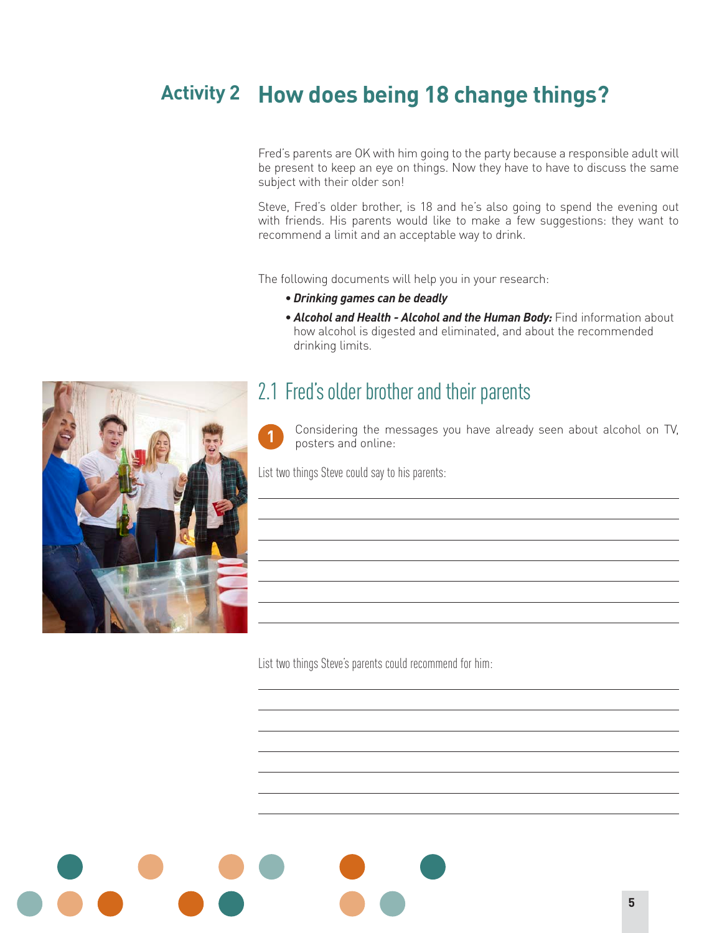# **How does being 18 change things? Activity 2**

Fred's parents are OK with him going to the party because a responsible adult will be present to keep an eye on things. Now they have to have to discuss the same subject with their older son!

Steve, Fred's older brother, is 18 and he's also going to spend the evening out with friends. His parents would like to make a few suggestions: they want to recommend a limit and an acceptable way to drink.

The following documents will help you in your research:

- **•** *Drinking games can be deadly*
- *Alcohol and Health Alcohol and the Human Body:* Find information about how alcohol is digested and eliminated, and about the recommended drinking limits.

### 2.1 Fred's older brother and their parents

Considering the messages you have already seen about alcohol on TV, **1** posters and online:

List two things Steve could say to his parents:

List two things Steve's parents could recommend for him:

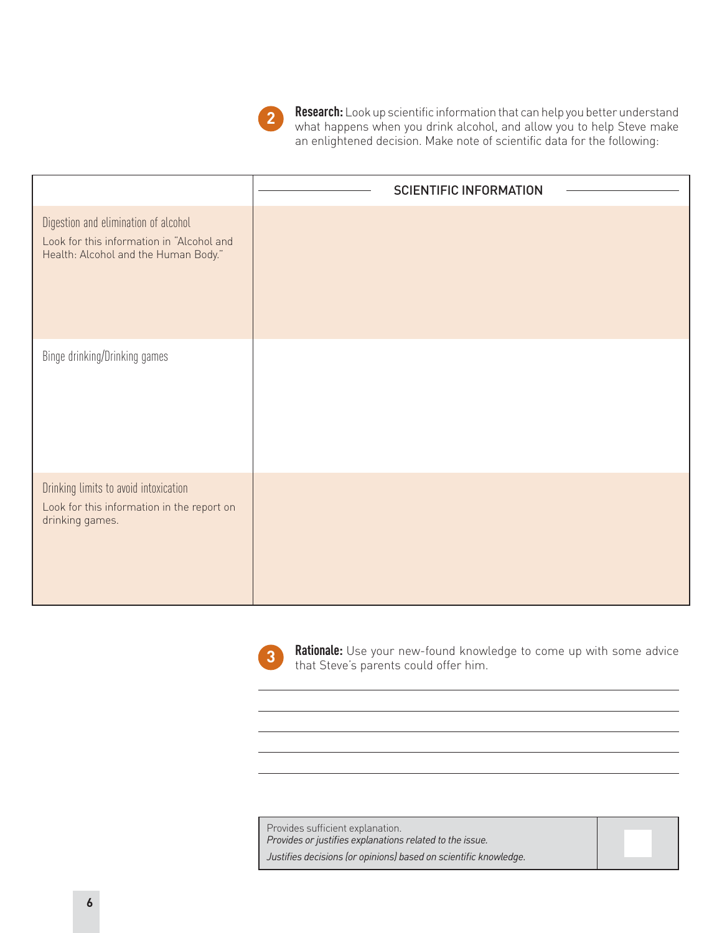

**Research:** Look up scientific information that can help you better understand what happens when you drink alcohol, and allow you to help Steve make an enlightened decision. Make note of scientific data for the following:

|                                                                                                                           | <b>SCIENTIFIC INFORMATION</b> |
|---------------------------------------------------------------------------------------------------------------------------|-------------------------------|
| Digestion and elimination of alcohol<br>Look for this information in "Alcohol and<br>Health: Alcohol and the Human Body." |                               |
| Binge drinking/Drinking games                                                                                             |                               |
| Drinking limits to avoid intoxication<br>Look for this information in the report on<br>drinking games.                    |                               |



**Rationale:** Use your new-found knowledge to come up with some advice **3 Redunate:** Use your new-lourd knowthat Steve's parents could offer him.

Provides sufficient explanation. *Provides or justifies explanations related to the issue. Justifies decisions (or opinions) based on scientific knowledge.*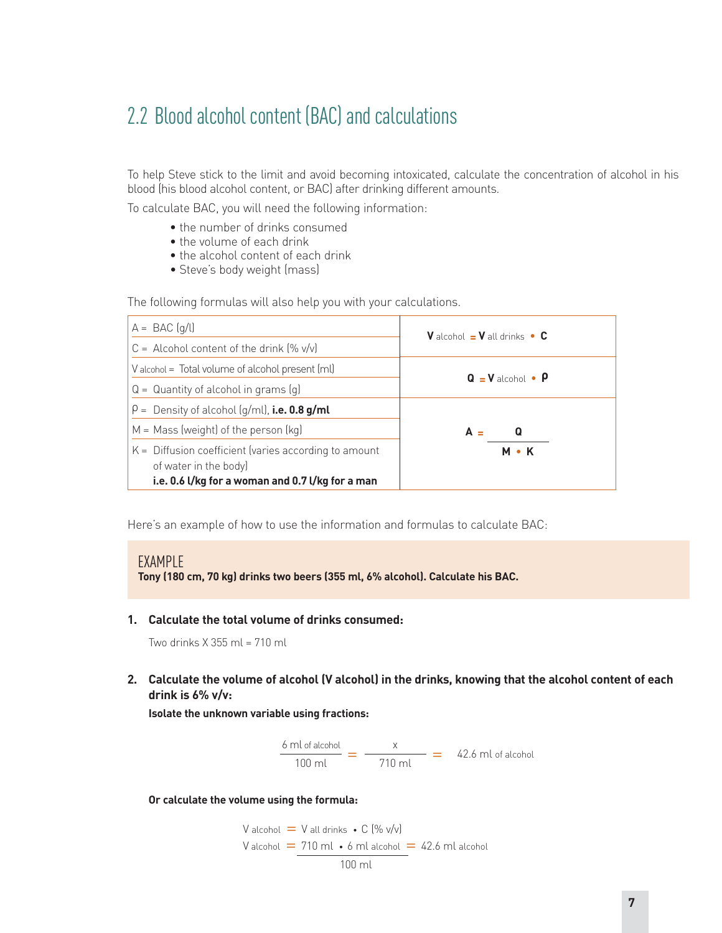# 2.2 Blood alcohol content (BAC) and calculations

To help Steve stick to the limit and avoid becoming intoxicated, calculate the concentration of alcohol in his blood (his blood alcohol content, or BAC) after drinking different amounts.

To calculate BAC, you will need the following information:

- the number of drinks consumed
- the volume of each drink
- the alcohol content of each drink
- Steve's body weight (mass)

The following formulas will also help you with your calculations.

| $A = BAC$ $(q/l)$                                                                                                                    | <b>V</b> alcohol $=$ <b>V</b> all drinks $\bullet$ <b>C</b> |
|--------------------------------------------------------------------------------------------------------------------------------------|-------------------------------------------------------------|
| $C =$ Alcohol content of the drink $(\% \text{ v/v})$                                                                                |                                                             |
| V alcohol = Total volume of alcohol present (ml)                                                                                     | $Q = V$ alcohol • $P$                                       |
| $Q =$ Quantity of alcohol in grams $(q)$                                                                                             |                                                             |
| $\rho =$ Density of alcohol (g/ml), i.e. 0.8 g/ml                                                                                    |                                                             |
| $M = Mass$ (weight) of the person (kg)                                                                                               | A<br>Q                                                      |
| $K =$ Diffusion coefficient (varies according to amount<br>of water in the body)<br>i.e. 0.6 l/kg for a woman and 0.7 l/kg for a man | <b>M</b> • K                                                |

Here's an example of how to use the information and formulas to calculate BAC:

#### EXAMPLE

**Tony (180 cm, 70 kg) drinks two beers (355 ml, 6% alcohol). Calculate his BAC.**

**1. Calculate the total volume of drinks consumed:** 

Two drinks X 355 ml = 710 ml

**2. Calculate the volume of alcohol (V alcohol) in the drinks, knowing that the alcohol content of each drink is 6% v/v:**

**Isolate the unknown variable using fractions:**



**Or calculate the volume using the formula:**

V alcohol = V all drinks • C (% v/v) V alcohol = 710 ml • 6 ml alcohol = 42.6 ml alcohol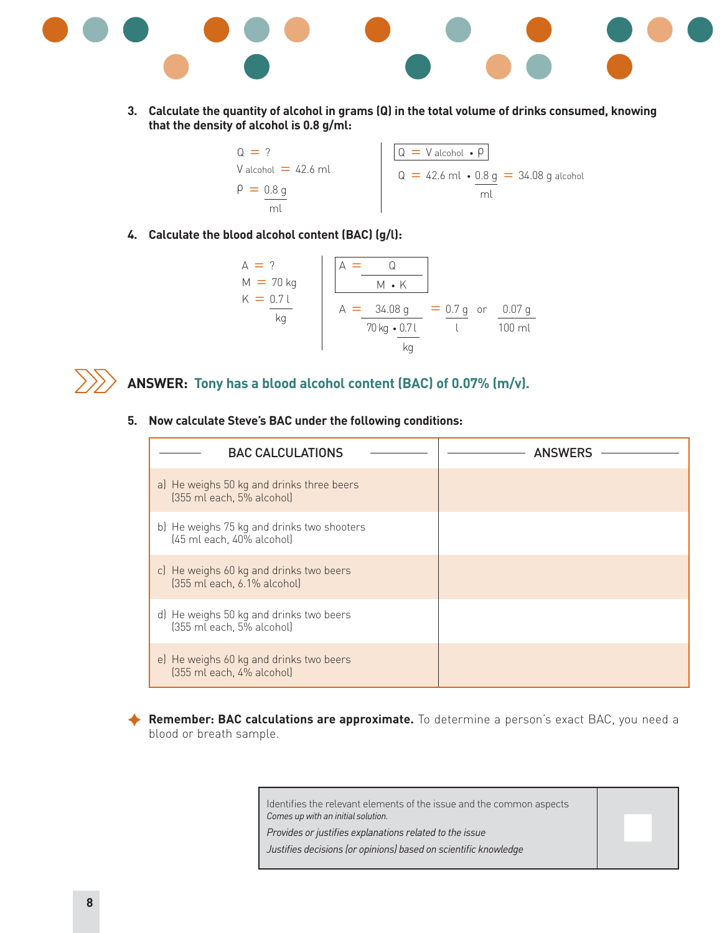

**3. Calculate the quantity of alcohol in grams (Q) in the total volume of drinks consumed, knowing that the density of alcohol is 0.8 g/ml:**

| $Q = 2$               | $Q = V$ alcohol $\cdot \rho$                  |
|-----------------------|-----------------------------------------------|
| V alcohol $=$ 42.6 ml | $Q = 42.6$ ml $\cdot$ 0.8 g = 34.08 g alcohol |
| $\rho = 0.8 q$        |                                               |
|                       |                                               |

**4. Calculate the blood alcohol content (BAC) (g/l):**

$$
A = ?\nM = 70 kg\nK = 0.7 l\n
$$
A = \frac{34.08 g}{70 kg \cdot 0.7 l} = \frac{0.7 g}{l} \text{ or } \frac{0.07 g}{100 ml}
$$
$$



#### **ANSWER: Tony has a blood alcohol content (BAC) of 0.07% (m/v).**

**5. Now calculate Steve's BAC under the following conditions:** 

| <b>BAC CALCULATIONS</b>                                                 | <b>ANSWERS</b> |
|-------------------------------------------------------------------------|----------------|
| a) He weighs 50 kg and drinks three beers<br>[355 ml each, 5% alcohol]  |                |
| b) He weighs 75 kg and drinks two shooters<br>(45 ml each, 40% alcohol) |                |
| c) He weighs 60 kg and drinks two beers<br>[355 ml each, 6.1% alcohol]  |                |
| d) He weighs 50 kg and drinks two beers<br>[355 ml each, 5% alcohol]    |                |
| e) He weighs 60 kg and drinks two beers<br>[355 ml each, 4% alcohol]    |                |

Remember: BAC calculations are approximate. To determine a person's exact BAC, you need a blood or breath sample.

> Identifies the relevant elements of the issue and the common aspects *Comes up with an initial solution.*

*Provides or justifies explanations related to the issue*

*Justifies decisions (or opinions) based on scientific knowledge*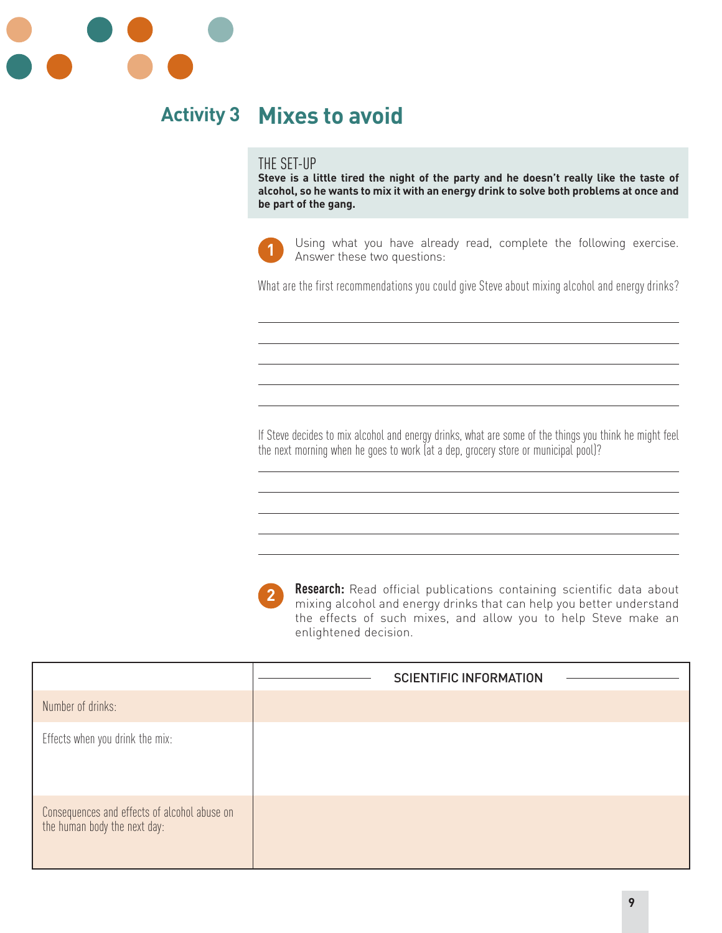

# **Activity 3 Mixes to avoid**

#### THE SET-UP

**Steve is a little tired the night of the party and he doesn't really like the taste of alcohol, so he wants to mix it with an energy drink to solve both problems at once and be part of the gang.**



Using what you have already read, complete the following exercise. Answer these two questions: **1**

What are the first recommendations you could give Steve about mixing alcohol and energy drinks?

If Steve decides to mix alcohol and energy drinks, what are some of the things you think he might feel the next morning when he goes to work (at a dep, grocery store or municipal pool)?



**Research:** Read official publications containing scientific data about mixing alcohol and energy drinks that can help you better understand the effects of such mixes, and allow you to help Steve make an enlightened decision.

|                                                                              | <b>SCIENTIFIC INFORMATION</b> |
|------------------------------------------------------------------------------|-------------------------------|
| Number of drinks:                                                            |                               |
| Effects when you drink the mix:                                              |                               |
| Consequences and effects of alcohol abuse on<br>the human body the next day: |                               |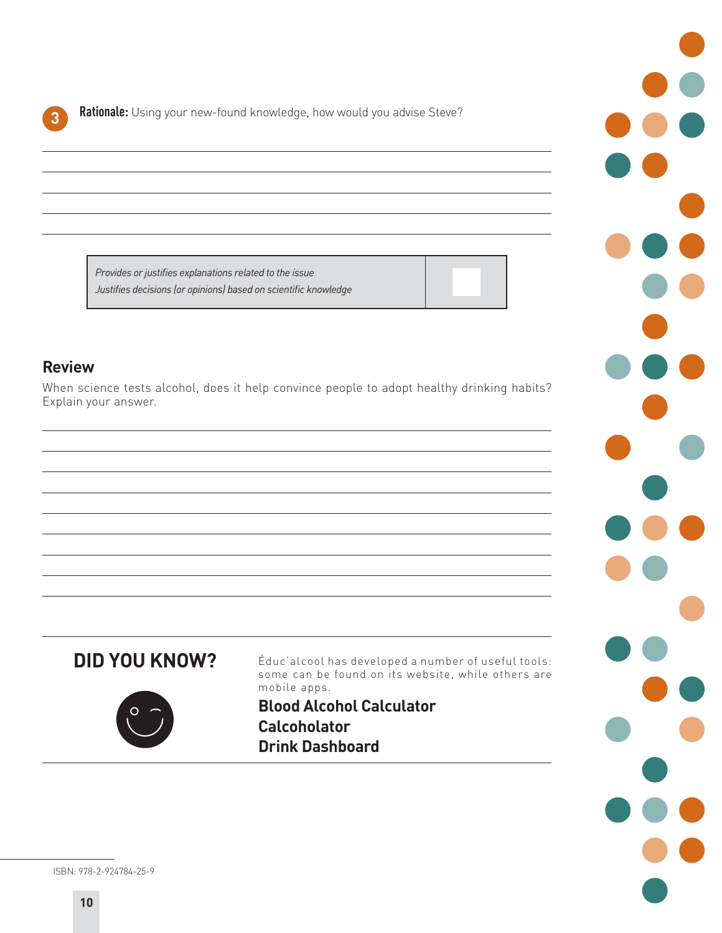**Rationale:** Using your new-found knowledge, how would you advise Steve?

*Provides or justifies explanations related to the issue Justifies decisions (or opinions) based on scientific knowledge*

#### **Review**

When science tests alcohol, does it help convince people to adopt healthy drinking habits? Explain your answer.





Éduc'alcool has developed a number of useful tools: some can be found on its website, while others are mobile apps.

**Blood Alcohol Calculator Calcoholator Drink Dashboard**



ISBN: 978-2-924784-25-9